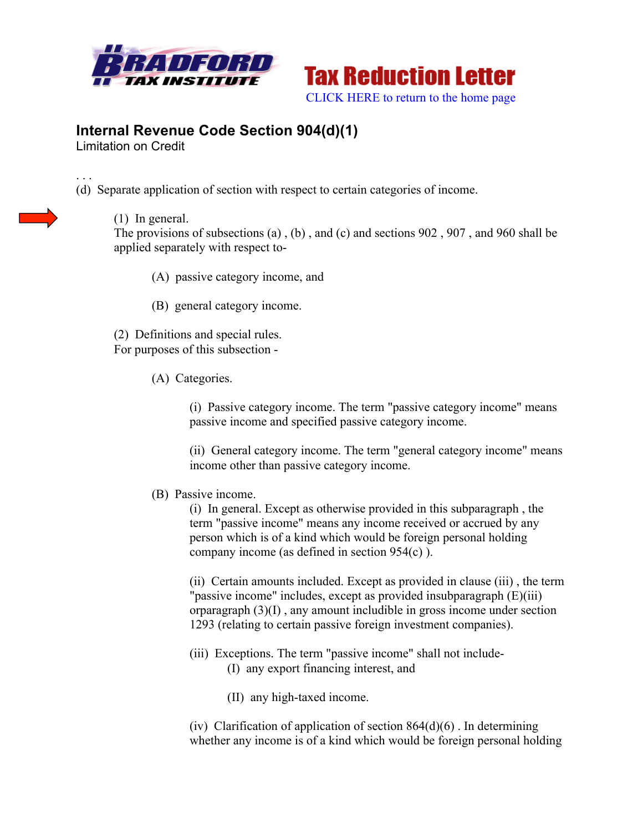



## **Internal Revenue Code Section 904(d)(1)**

Limitation on Credit

. . . (d) Separate application of section with respect to certain categories of income.

(1) In general.

The provisions of subsections (a) , (b) , and (c) and sections 902 , 907 , and 960 shall be applied separately with respect to-

- (A) passive category income, and
- (B) general category income.

(2) Definitions and special rules. For purposes of this subsection -

(A) Categories.

(i) Passive category income. The term "passive category income" means passive income and specified passive category income.

(ii) General category income. The term "general category income" means income other than passive category income.

## (B) Passive income.

(i) In general. Except as otherwise provided in this subparagraph , the term "passive income" means any income received or accrued by any person which is of a kind which would be foreign personal holding company income (as defined in section 954(c) ).

(ii) Certain amounts included. Except as provided in clause (iii) , the term "passive income" includes, except as provided insubparagraph (E)(iii) orparagraph (3)(I) , any amount includible in gross income under section 1293 (relating to certain passive foreign investment companies).

- (iii) Exceptions. The term "passive income" shall not include- (I) any export financing interest, and
	- (II) any high-taxed income.

(iv) Clarification of application of section  $864(d)(6)$ . In determining whether any income is of a kind which would be foreign personal holding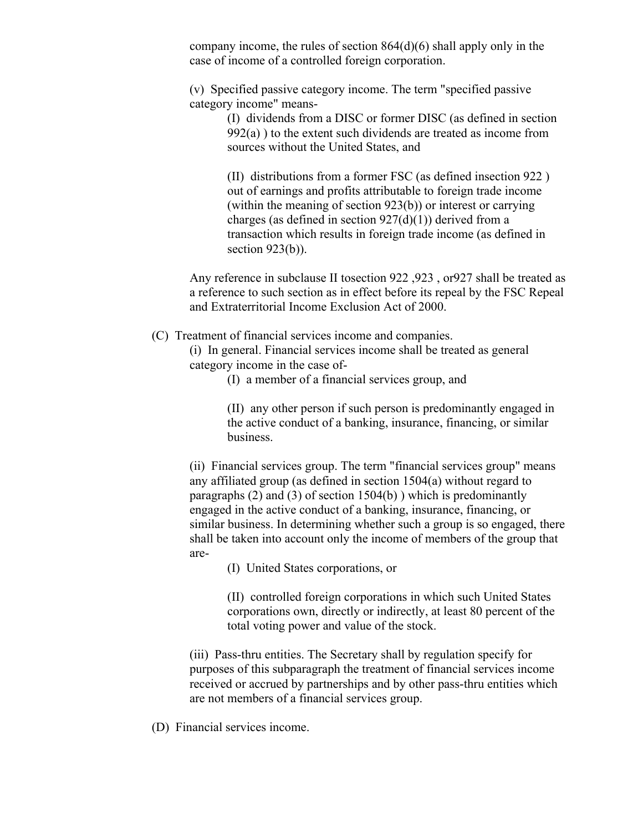company income, the rules of section 864(d)(6) shall apply only in the case of income of a controlled foreign corporation.

(v) Specified passive category income. The term "specified passive category income" means-

(I) dividends from a DISC or former DISC (as defined in section  $992(a)$ ) to the extent such dividends are treated as income from sources without the United States, and

(II) distributions from a former FSC (as defined insection 922 ) out of earnings and profits attributable to foreign trade income (within the meaning of section 923(b)) or interest or carrying charges (as defined in section  $927(d)(1)$ ) derived from a transaction which results in foreign trade income (as defined in section  $923(b)$ ).

Any reference in subclause II tosection 922 ,923 , or927 shall be treated as a reference to such section as in effect before its repeal by the FSC Repeal and Extraterritorial Income Exclusion Act of 2000.

(C) Treatment of financial services income and companies.

(i) In general. Financial services income shall be treated as general category income in the case of-

(I) a member of a financial services group, and

(II) any other person if such person is predominantly engaged in the active conduct of a banking, insurance, financing, or similar business.

(ii) Financial services group. The term "financial services group" means any affiliated group (as defined in section 1504(a) without regard to paragraphs (2) and (3) of section 1504(b) ) which is predominantly engaged in the active conduct of a banking, insurance, financing, or similar business. In determining whether such a group is so engaged, there shall be taken into account only the income of members of the group that are-

(I) United States corporations, or

(II) controlled foreign corporations in which such United States corporations own, directly or indirectly, at least 80 percent of the total voting power and value of the stock.

(iii) Pass-thru entities. The Secretary shall by regulation specify for purposes of this subparagraph the treatment of financial services income received or accrued by partnerships and by other pass-thru entities which are not members of a financial services group.

(D) Financial services income.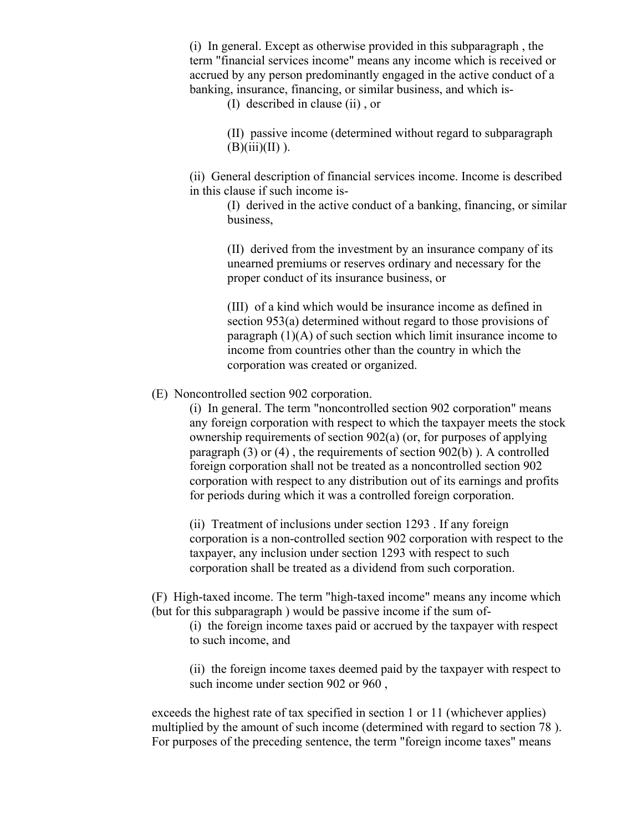(i) In general. Except as otherwise provided in this subparagraph , the term "financial services income" means any income which is received or accrued by any person predominantly engaged in the active conduct of a banking, insurance, financing, or similar business, and which is-

(I) described in clause (ii) , or

(II) passive income (determined without regard to subparagraph  $(B)(iii)(II)$ ).

(ii) General description of financial services income. Income is described in this clause if such income is-

> (I) derived in the active conduct of a banking, financing, or similar business,

(II) derived from the investment by an insurance company of its unearned premiums or reserves ordinary and necessary for the proper conduct of its insurance business, or

(III) of a kind which would be insurance income as defined in section 953(a) determined without regard to those provisions of paragraph (1)(A) of such section which limit insurance income to income from countries other than the country in which the corporation was created or organized.

(E) Noncontrolled section 902 corporation.

(i) In general. The term "noncontrolled section 902 corporation" means any foreign corporation with respect to which the taxpayer meets the stock ownership requirements of section 902(a) (or, for purposes of applying paragraph (3) or (4) , the requirements of section 902(b) ). A controlled foreign corporation shall not be treated as a noncontrolled section 902 corporation with respect to any distribution out of its earnings and profits for periods during which it was a controlled foreign corporation.

(ii) Treatment of inclusions under section 1293 . If any foreign corporation is a non-controlled section 902 corporation with respect to the taxpayer, any inclusion under section 1293 with respect to such corporation shall be treated as a dividend from such corporation.

(F) High-taxed income. The term "high-taxed income" means any income which (but for this subparagraph ) would be passive income if the sum of-

(i) the foreign income taxes paid or accrued by the taxpayer with respect to such income, and

(ii) the foreign income taxes deemed paid by the taxpayer with respect to such income under section 902 or 960 ,

exceeds the highest rate of tax specified in section 1 or 11 (whichever applies) multiplied by the amount of such income (determined with regard to section 78 ). For purposes of the preceding sentence, the term "foreign income taxes" means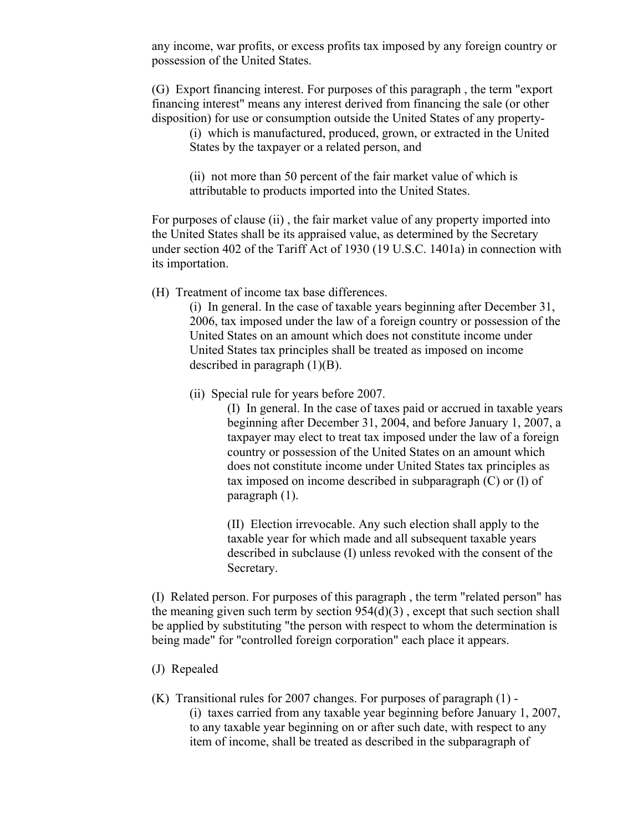any income, war profits, or excess profits tax imposed by any foreign country or possession of the United States.

(G) Export financing interest. For purposes of this paragraph , the term "export financing interest" means any interest derived from financing the sale (or other disposition) for use or consumption outside the United States of any property-

(i) which is manufactured, produced, grown, or extracted in the United States by the taxpayer or a related person, and

(ii) not more than 50 percent of the fair market value of which is attributable to products imported into the United States.

For purposes of clause (ii) , the fair market value of any property imported into the United States shall be its appraised value, as determined by the Secretary under section 402 of the Tariff Act of 1930 (19 U.S.C. 1401a) in connection with its importation.

(H) Treatment of income tax base differences.

(i) In general. In the case of taxable years beginning after December 31, 2006, tax imposed under the law of a foreign country or possession of the United States on an amount which does not constitute income under United States tax principles shall be treated as imposed on income described in paragraph (1)(B).

(ii) Special rule for years before 2007.

(I) In general. In the case of taxes paid or accrued in taxable years beginning after December 31, 2004, and before January 1, 2007, a taxpayer may elect to treat tax imposed under the law of a foreign country or possession of the United States on an amount which does not constitute income under United States tax principles as tax imposed on income described in subparagraph (C) or (l) of paragraph (1).

(II) Election irrevocable. Any such election shall apply to the taxable year for which made and all subsequent taxable years described in subclause (I) unless revoked with the consent of the Secretary.

(I) Related person. For purposes of this paragraph , the term "related person" has the meaning given such term by section  $954(d)(3)$ , except that such section shall be applied by substituting "the person with respect to whom the determination is being made" for "controlled foreign corporation" each place it appears.

- (J) Repealed
- (K) Transitional rules for 2007 changes. For purposes of paragraph (1) (i) taxes carried from any taxable year beginning before January 1, 2007, to any taxable year beginning on or after such date, with respect to any item of income, shall be treated as described in the subparagraph of